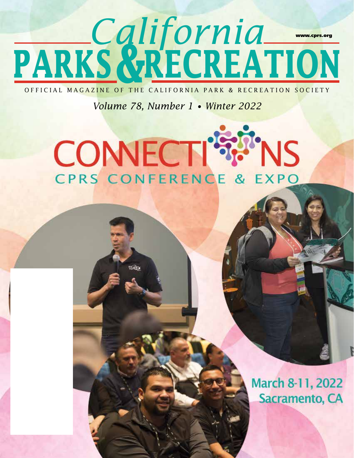### **PARKS RECREATION** *California* **&**  www.cprs.org

OFFICIAL MAGAZINE OF THE CALIFORNIA PARK & RECREATION SOCIETY

*Volume 78, Number 1 • Winter 2022*

# **CONNECTI'S!** CPRS CONFERENCE & EXPO

 $W = 16$ 

March 8-11, 2022 Sacramento, CA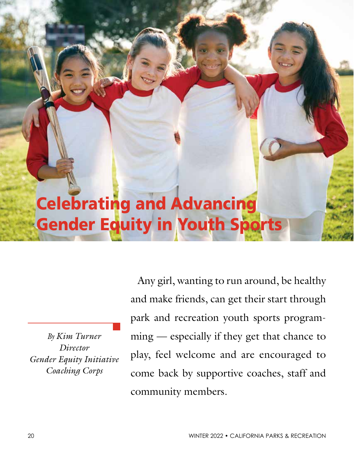## Celebrating and Advancing Gender Equity in Youth Sports

*By Kim Turner Director Gender Equity Initiative Coaching Corps*

Any girl, wanting to run around, be healthy and make friends, can get their start through park and recreation youth sports programming — especially if they get that chance to play, feel welcome and are encouraged to come back by supportive coaches, staff and community members.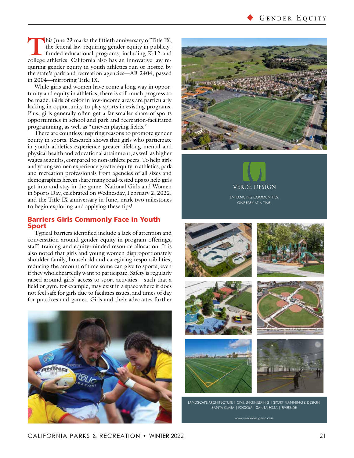This June 23 marks the fiftieth anniversary of Title IX, the federal law requiring gender equity in publicly-<br>funded educational programs, including K-12 and college athletics. California also has an innovative law rethe federal law requiring gender equity in publiclycollege athletics. California also has an innovative law requiring gender equity in youth athletics run or hosted by the state's park and recreation agencies—AB 2404, passed in 2004—mirroring Title IX.

While girls and women have come a long way in opportunity and equity in athletics, there is still much progress to be made. Girls of color in low-income areas are particularly lacking in opportunity to play sports in existing programs. Plus, girls generally often get a far smaller share of sports opportunities in school and park and recreation-facilitated programming, as well as "uneven playing fields."

There are countless inspiring reasons to promote gender equity in sports. Research shows that girls who participate in youth athletics experience greater lifelong mental and physical health and educational attainment, as well as higher wages as adults, compared to non-athlete peers. To help girls and young women experience greater equity in athletics, park and recreation professionals from agencies of all sizes and demographics herein share many road-tested tips to help girls get into and stay in the game. National Girls and Women in Sports Day, celebrated on Wednesday, February 2, 2022, and the Title IX anniversary in June, mark two milestones to begin exploring and applying these tips!

#### Barriers Girls Commonly Face in Youth Sport

Typical barriers identified include a lack of attention and conversation around gender equity in program offerings, staff training and equity-minded resource allocation. It is also noted that girls and young women disproportionately shoulder family, household and caregiving responsibilities, reducing the amount of time some can give to sports, even if they wholeheartedly want to participate. Safety is regularly raised around girls' access to sport activities – such that a field or gym, for example, may exist in a space where it does not feel safe for girls due to facilities issues, and times of day for practices and games. Girls and their advocates further







ENHANCING COMMUNITIES, ONE PARK AT A TIME.











LANDSCAPE ARCHITECTURE | CIVIL ENGINEERING | SPORT PLANNING & DESIGN SANTA CLARA | FOLSOM | SANTA ROSA | RIVERSIDE

www.verdedesigninc.com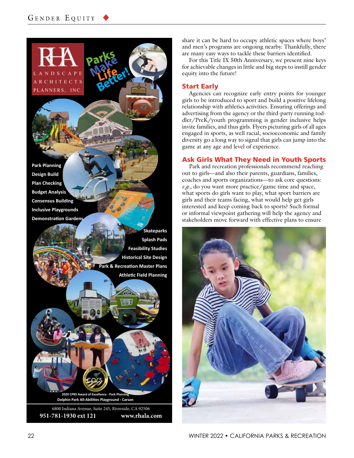CHITECTS PLANNERS, INC.

**Park Planning Design Build Plan Checking Budget Analysis Consensus Building Inclusive Playgrounds Demonstration Gardens**

> **Skateparks Splash Pads Feasibility Studies Historical Site Design Park & Recreation Master Plans Athletic Field Planning**

**Dolphin Park All-Abilities Playground - Carson 2020 CPRS Award of Excellence - Park Pla** 

6800 Indiana Avenue, Suite 245, Riverside, CA 92506 **951-781-1930 ext 121 www.rhala.com** share it can be hard to occupy athletic spaces where boys' and men's programs are ongoing nearby. Thankfully, there are many easy ways to tackle these barriers identified.

For this Title IX 50th Anniversary, we present nine keys for achievable changes in little and big steps to instill gender equity into the future!

#### Start Early

Agencies can recognize early entry points for younger girls to be introduced to sport and build a positive lifelong relationship with athletics activities. Ensuring offerings and advertising from the agency or the third-party running toddler/PreK/youth programming is gender inclusive helps invite families, and thus girls. Flyers picturing girls of all ages engaged in sports, as well racial, socioeconomic and family diversity go a long way to signal that girls can jump into the game at any age and level of experience.

#### Ask Girls What They Need in Youth Sports

Park and recreation professionals recommend reaching out to girls—and also their parents, guardians, families, coaches and sports organizations—to ask core questions: *e.g.*, do you want more practice/game time and space, what sports do girls want to play, what sport barriers are girls and their teams facing, what would help get girls interested and keep coming back to sports? Such formal or informal viewpoint gathering will help the agency and stakeholders move forward with effective plans to ensure

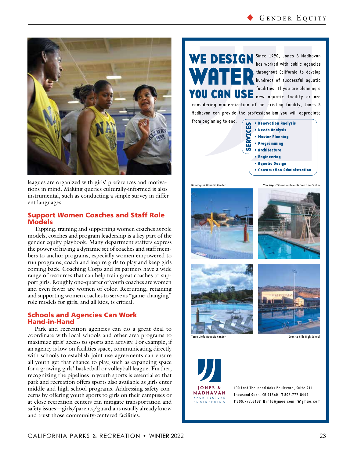

leagues are organized with girls' preferences and motivations in mind. Making queries culturally-informed is also instrumental, such as conducting a simple survey in different languages.

#### Support Women Coaches and Staff Role Models

Tapping, training and supporting women coaches as role models, coaches and program leadership is a key part of the gender equity playbook. Many department staffers express the power of having a dynamic set of coaches and staff members to anchor programs, especially women empowered to run programs, coach and inspire girls to play and keep girls coming back. Coaching Corps and its partners have a wide range of resources that can help train great coaches to support girls. Roughly one-quarter of youth coaches are women and even fewer are women of color. Recruiting, retaining and supporting women coaches to serve as "game-changing" role models for girls, and all kids, is critical.

#### Schools and Agencies Can Work Hand-in-Hand

Park and recreation agencies can do a great deal to coordinate with local schools and other area programs to maximize girls' access to sports and activity. For example, if an agency is low on facilities space, communicating directly with schools to establish joint use agreements can ensure all youth get that chance to play, such as expanding space for a growing girls' basketball or volleyball league. Further, recognizing the pipelines in youth sports is essential so that park and recreation offers sports also available as girls enter middle and high school programs. Addressing safety concerns by offering youth sports to girls on their campuses or at close recreation centers can mitigate transportation and safety issues—girls/parents/guardians usually already know and trust those community-centered facilities.

WATER

WE DESIGN Since 1990, Jones & Madhavan YOU CAN USE facilities. If you are planning a has worked with public agencies throughout California to develop hundreds of successful aquatic new aquatic facility or are

considering modernization of an existing facility, Jones & Madhavan can provide the professionalism you will appreciate

from beginning to end.

• Renovation Analysis • Needs Analysis • Master Planning • Programming • Architecture • Engineering • Aquatic Design • Construction Administration n ERVIC  $\mathbf{u}$ ທ









Terra Linda Aquatic Center Granite Hills High School



100 East Thousand Oaks Boulevard, Suite 211 Thousand Oaks, CA 91360 T 805.777.8449 F 805.777.8489 E info@jmae.com W jmae.com